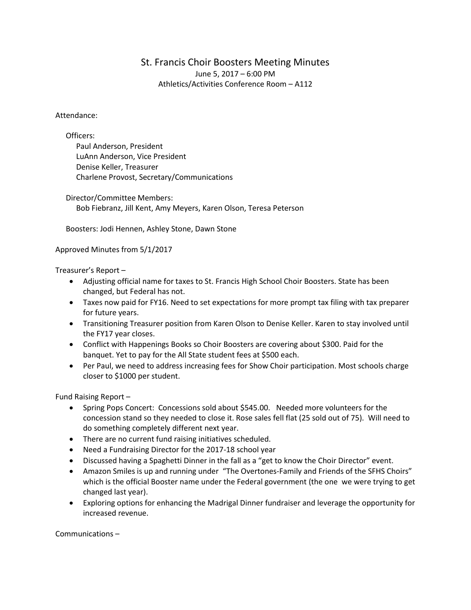## St. Francis Choir Boosters Meeting Minutes June 5, 2017 – 6:00 PM Athletics/Activities Conference Room – A112

## Attendance:

Officers:

Paul Anderson, President LuAnn Anderson, Vice President Denise Keller, Treasurer Charlene Provost, Secretary/Communications

Director/Committee Members: Bob Fiebranz, Jill Kent, Amy Meyers, Karen Olson, Teresa Peterson

Boosters: Jodi Hennen, Ashley Stone, Dawn Stone

## Approved Minutes from 5/1/2017

Treasurer's Report –

- Adjusting official name for taxes to St. Francis High School Choir Boosters. State has been changed, but Federal has not.
- Taxes now paid for FY16. Need to set expectations for more prompt tax filing with tax preparer for future years.
- Transitioning Treasurer position from Karen Olson to Denise Keller. Karen to stay involved until the FY17 year closes.
- Conflict with Happenings Books so Choir Boosters are covering about \$300. Paid for the banquet. Yet to pay for the All State student fees at \$500 each.
- Per Paul, we need to address increasing fees for Show Choir participation. Most schools charge closer to \$1000 per student.

Fund Raising Report –

- Spring Pops Concert: Concessions sold about \$545.00. Needed more volunteers for the concession stand so they needed to close it. Rose sales fell flat (25 sold out of 75). Will need to do something completely different next year.
- There are no current fund raising initiatives scheduled.
- Need a Fundraising Director for the 2017-18 school year
- Discussed having a Spaghetti Dinner in the fall as a "get to know the Choir Director" event.
- Amazon Smiles is up and running under "The Overtones-Family and Friends of the SFHS Choirs" which is the official Booster name under the Federal government (the one we were trying to get changed last year).
- Exploring options for enhancing the Madrigal Dinner fundraiser and leverage the opportunity for increased revenue.

Communications –